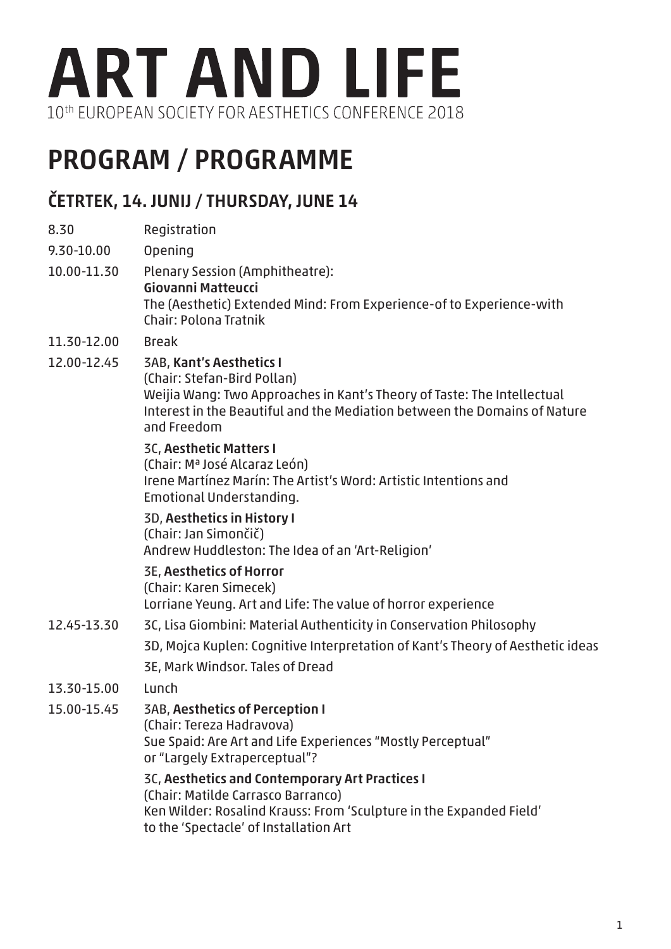

# PROGRAM / PROGRAMME

### ČETRTEK, 14. JUNIJ / THURSDAY, JUNE 14

8.30 Registration 9.30-10.00 Opening 10.00-11.30 Plenary Session (Amphitheatre): Giovanni Matteucci The (Aesthetic) Extended Mind: From Experience-of to Experience-with Chair: Polona Tratnik 11.30-12.00 Break 12.00-12.45 3AB, Kant's Aesthetics I (Chair: Stefan-Bird Pollan) Weijia Wang: Two Approaches in Kant's Theory of Taste: The Intellectual Interest in the Beautiful and the Mediation between the Domains of Nature and Freedom 3C, Aesthetic Matters I (Chair: Mª José Alcaraz León) Irene Martínez Marín: The Artist's Word: Artistic Intentions and Emotional Understanding. 3D, Aesthetics in History I (Chair: Jan Simončič) Andrew Huddleston: The Idea of an 'Art-Religion' 3E, Aesthetics of Horror (Chair: Karen Simecek) Lorriane Yeung. Art and Life: The value of horror experience 12.45-13.30 3C, Lisa Giombini: Material Authenticity in Conservation Philosophy 3D, Mojca Kuplen: Cognitive Interpretation of Kant's Theory of Aesthetic ideas 3E, Mark Windsor. Tales of Dread 13.30-15.00 Lunch 15.00-15.45 3AB, Aesthetics of Perception I (Chair: Tereza Hadravova) Sue Spaid: Are Art and Life Experiences "Mostly Perceptual" or "Largely Extraperceptual"? 3C, Aesthetics and Contemporary Art Practices I (Chair: Matilde Carrasco Barranco) Ken Wilder: Rosalind Krauss: From 'Sculpture in the Expanded Field' to the 'Spectacle' of Installation Art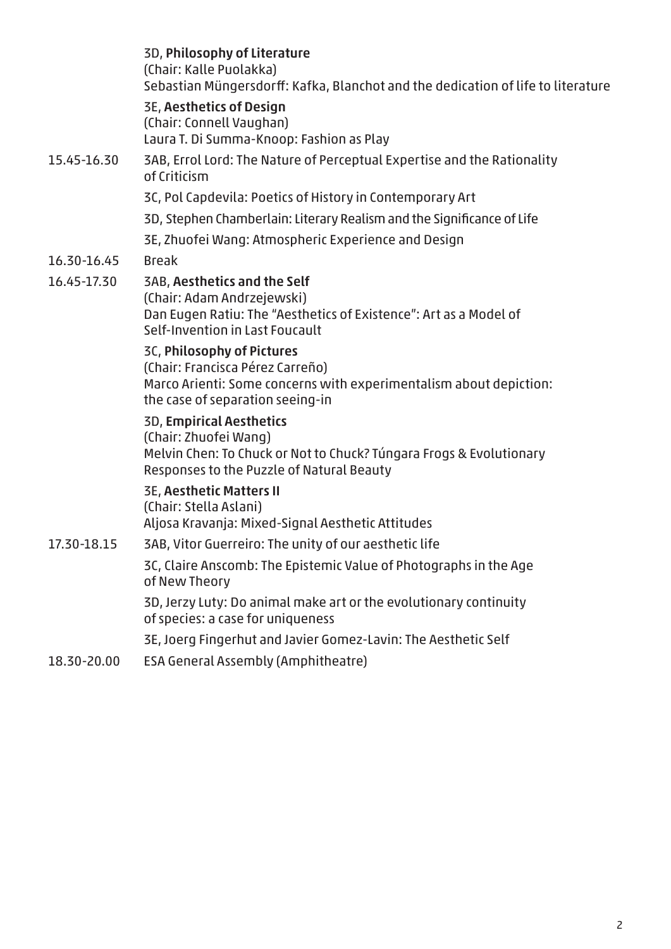|             | 3D, Philosophy of Literature<br>(Chair: Kalle Puolakka)<br>Sebastian Müngersdorff: Kafka, Blanchot and the dedication of life to literature                                  |
|-------------|------------------------------------------------------------------------------------------------------------------------------------------------------------------------------|
|             | <b>3E, Aesthetics of Design</b><br>(Chair: Connell Vaughan)<br>Laura T. Di Summa-Knoop: Fashion as Play                                                                      |
| 15.45-16.30 | 3AB, Errol Lord: The Nature of Perceptual Expertise and the Rationality<br>of Criticism                                                                                      |
|             | 3C, Pol Capdevila: Poetics of History in Contemporary Art                                                                                                                    |
|             | 3D, Stephen Chamberlain: Literary Realism and the Significance of Life                                                                                                       |
|             | 3E, Zhuofei Wang: Atmospheric Experience and Design                                                                                                                          |
| 16.30-16.45 | <b>Break</b>                                                                                                                                                                 |
| 16.45-17.30 | <b>3AB, Aesthetics and the Self</b><br>(Chair: Adam Andrzejewski)<br>Dan Eugen Ratiu: The "Aesthetics of Existence": Art as a Model of<br>Self-Invention in Last Foucault    |
|             | 3C, Philosophy of Pictures<br>(Chair: Francisca Pérez Carreño)<br>Marco Arienti: Some concerns with experimentalism about depiction:<br>the case of separation seeing-in     |
|             | <b>3D, Empirical Aesthetics</b><br>(Chair: Zhuofei Wang)<br>Melvin Chen: To Chuck or Not to Chuck? Túngara Frogs & Evolutionary<br>Responses to the Puzzle of Natural Beauty |
|             | <b>3E, Aesthetic Matters II</b><br>(Chair: Stella Aslani)<br>Aljosa Kravanja: Mixed-Signal Aesthetic Attitudes                                                               |
| 17.30-18.15 | 3AB, Vitor Guerreiro: The unity of our aesthetic life                                                                                                                        |
|             | 3C, Claire Anscomb: The Epistemic Value of Photographs in the Age<br>of New Theory                                                                                           |
|             | 3D, Jerzy Luty: Do animal make art or the evolutionary continuity<br>of species: a case for uniqueness                                                                       |
|             | 3E, Joerg Fingerhut and Javier Gomez-Lavin: The Aesthetic Self                                                                                                               |
| 18.30-20.00 | <b>ESA General Assembly (Amphitheatre)</b>                                                                                                                                   |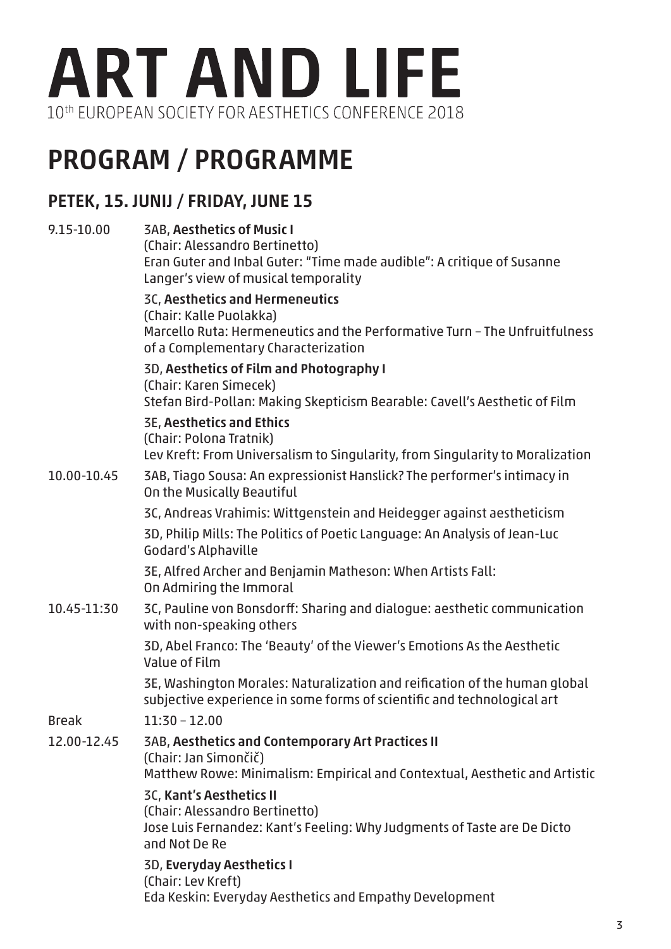

## PROGRAM / PROGRAMME

#### PETEK, 15. JUNIJ / FRIDAY, JUNE 15

| 9.15-10.00   | <b>3AB, Aesthetics of Music I</b><br>(Chair: Alessandro Bertinetto)<br>Eran Guter and Inbal Guter: "Time made audible": A critique of Susanne<br>Langer's view of musical temporality |
|--------------|---------------------------------------------------------------------------------------------------------------------------------------------------------------------------------------|
|              | 3C, Aesthetics and Hermeneutics<br>(Chair: Kalle Puolakka)<br>Marcello Ruta: Hermeneutics and the Performative Turn - The Unfruitfulness<br>of a Complementary Characterization       |
|              | 3D, Aesthetics of Film and Photography I<br>(Chair: Karen Simecek)<br>Stefan Bird-Pollan: Making Skepticism Bearable: Cavell's Aesthetic of Film                                      |
|              | <b>3E, Aesthetics and Ethics</b><br>(Chair: Polona Tratnik)<br>Lev Kreft: From Universalism to Singularity, from Singularity to Moralization                                          |
| 10.00-10.45  | 3AB, Tiago Sousa: An expressionist Hanslick? The performer's intimacy in<br>On the Musically Beautiful                                                                                |
|              | 3C, Andreas Vrahimis: Wittgenstein and Heidegger against aestheticism                                                                                                                 |
|              | 3D, Philip Mills: The Politics of Poetic Language: An Analysis of Jean-Luc<br><b>Godard's Alphaville</b>                                                                              |
|              | 3E, Alfred Archer and Benjamin Matheson: When Artists Fall:<br>On Admiring the Immoral                                                                                                |
| 10.45-11:30  | 3C, Pauline von Bonsdorff: Sharing and dialogue: aesthetic communication<br>with non-speaking others                                                                                  |
|              | 3D, Abel Franco: The 'Beauty' of the Viewer's Emotions As the Aesthetic<br>Value of Film                                                                                              |
|              | 3E, Washington Morales: Naturalization and reification of the human global<br>subjective experience in some forms of scientific and technological art                                 |
| <b>Break</b> | $11:30 - 12.00$                                                                                                                                                                       |
| 12.00-12.45  | <b>3AB, Aesthetics and Contemporary Art Practices II</b><br>(Chair: Jan Simončič)<br>Matthew Rowe: Minimalism: Empirical and Contextual, Aesthetic and Artistic                       |
|              | 3C, Kant's Aesthetics II<br>(Chair: Alessandro Bertinetto)<br>Jose Luis Fernandez: Kant's Feeling: Why Judgments of Taste are De Dicto<br>and Not De Re                               |
|              | 3D, Everyday Aesthetics I<br>(Chair: Lev Kreft)<br>Eda Keskin: Everyday Aesthetics and Empathy Development                                                                            |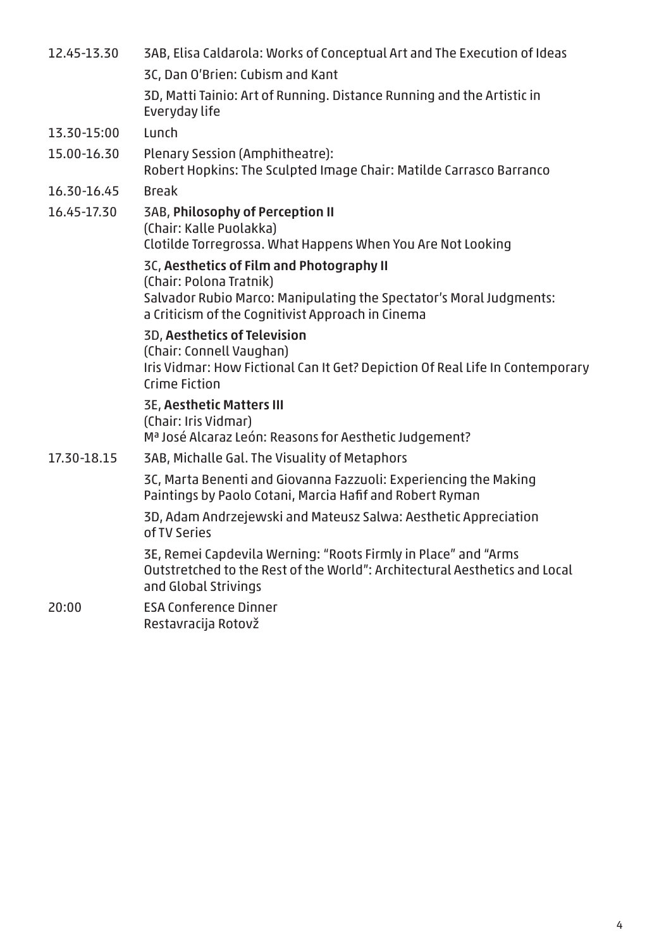| 12.45-13.30 | 3AB, Elisa Caldarola: Works of Conceptual Art and The Execution of Ideas                                                                                             |
|-------------|----------------------------------------------------------------------------------------------------------------------------------------------------------------------|
|             | 3C, Dan O'Brien: Cubism and Kant                                                                                                                                     |
|             | 3D, Matti Tainio: Art of Running. Distance Running and the Artistic in<br>Everyday life                                                                              |
| 13.30-15:00 | Lunch                                                                                                                                                                |
| 15.00-16.30 | Plenary Session (Amphitheatre):<br>Robert Hopkins: The Sculpted Image Chair: Matilde Carrasco Barranco                                                               |
| 16.30-16.45 | <b>Break</b>                                                                                                                                                         |
| 16.45-17.30 | <b>3AB, Philosophy of Perception II</b><br>(Chair: Kalle Puolakka)<br>Clotilde Torregrossa. What Happens When You Are Not Looking                                    |
|             | 3C, Aesthetics of Film and Photography II                                                                                                                            |
|             | (Chair: Polona Tratnik)                                                                                                                                              |
|             | Salvador Rubio Marco: Manipulating the Spectator's Moral Judgments:<br>a Criticism of the Cognitivist Approach in Cinema                                             |
|             | <b>3D, Aesthetics of Television</b>                                                                                                                                  |
|             | (Chair: Connell Vaughan)<br>Iris Vidmar: How Fictional Can It Get? Depiction Of Real Life In Contemporary<br>Crime Fiction                                           |
|             | <b>3E, Aesthetic Matters III</b>                                                                                                                                     |
|             | (Chair: Iris Vidmar)                                                                                                                                                 |
|             | Mª José Alcaraz León: Reasons for Aesthetic Judgement?                                                                                                               |
| 17.30-18.15 | <b>3AB, Michalle Gal. The Visuality of Metaphors</b>                                                                                                                 |
|             | 3C, Marta Benenti and Giovanna Fazzuoli: Experiencing the Making<br>Paintings by Paolo Cotani, Marcia Hafif and Robert Ryman                                         |
|             | 3D, Adam Andrzejewski and Mateusz Salwa: Aesthetic Appreciation<br>of TV Series                                                                                      |
|             | 3E, Remei Capdevila Werning: "Roots Firmly in Place" and "Arms<br>Outstretched to the Rest of the World": Architectural Aesthetics and Local<br>and Global Strivings |
| 20:00       | <b>ESA Conference Dinner</b><br>Restavracija Rotovž                                                                                                                  |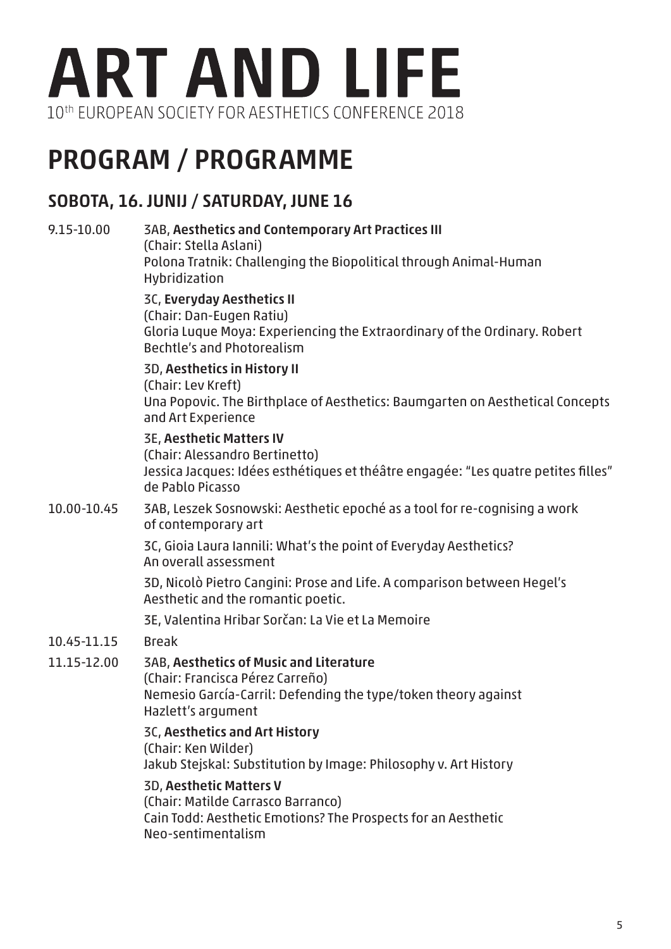

## PROGRAM / PROGRAMME

#### SOBOTA, 16. JUNIJ / SATURDAY, JUNE 16

#### 9.15-10.00 3AB, Aesthetics and Contemporary Art Practices III (Chair: Stella Aslani) Polona Tratnik: Challenging the Biopolitical through Animal-Human Hybridization 3C, Everyday Aesthetics II (Chair: Dan-Eugen Ratiu) Gloria Luque Moya: Experiencing the Extraordinary of the Ordinary. Robert Bechtle's and Photorealism 3D, Aesthetics in History II (Chair: Lev Kreft) Una Popovic. The Birthplace of Aesthetics: Baumgarten on Aesthetical Concepts and Art Experience 3E, Aesthetic Matters IV (Chair: Alessandro Bertinetto) Jessica Jacques: Idées esthétiques et théâtre engagée: "Les quatre petites filles" de Pablo Picasso 10.00-10.45 3AB, Leszek Sosnowski: Aesthetic epoché as a tool for re-cognising a work of contemporary art 3C, Gioia Laura Iannili: What's the point of Everyday Aesthetics? An overall assessment 3D, Nicolò Pietro Cangini: Prose and Life. A comparison between Hegel's Aesthetic and the romantic poetic. 3E, Valentina Hribar Sorčan: La Vie et La Memoire 10.45-11.15 Break 11.15-12.00 3AB, Aesthetics of Music and Literature (Chair: Francisca Pérez Carreño) Nemesio García-Carril: Defending the type/token theory against Hazlett's argument 3C, Aesthetics and Art History (Chair: Ken Wilder) Jakub Stejskal: Substitution by Image: Philosophy v. Art History 3D, Aesthetic Matters V (Chair: Matilde Carrasco Barranco) Cain Todd: Aesthetic Emotions? The Prospects for an Aesthetic Neo-sentimentalism